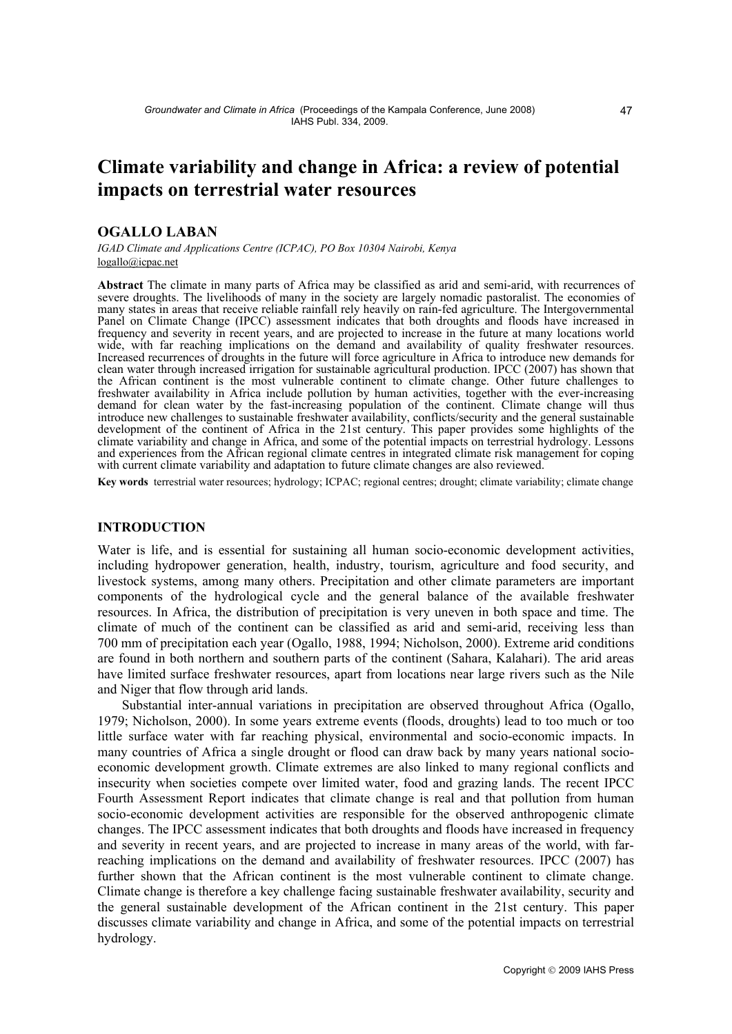# **Climate variability and change in Africa: a review of potential impacts on terrestrial water resources**

# **OGALLO LABAN**

*IGAD Climate and Applications Centre (ICPAC), PO Box 10304 Nairobi, Kenya*  logallo@icpac.net

**Abstract** The climate in many parts of Africa may be classified as arid and semi-arid, with recurrences of severe droughts. The livelihoods of many in the society are largely nomadic pastoralist. The economies of many states in areas that receive reliable rainfall rely heavily on rain-fed agriculture. The Intergovernmental [Panel on Climat](mailto:logallo@icpac.net)e Change (IPCC) assessment indicates that both droughts and floods have increased in frequency and severity in recent years, and are projected to increase in the future at many locations world wide, with far reaching implications on the demand and availability of quality freshwater resources. Increased recurrences of droughts in the future will force agriculture in Africa to introduce new demands for clean water through increased irrigation for sustainable agricultural production. IPCC (2007) has shown that the African continent is the most vulnerable continent to climate change. Other future challenges to freshwater availability in Africa include pollution by human activities, together with the ever-increasing demand for clean water by the fast-increasing population of the continent. Climate change will thus introduce new challenges to sustainable freshwater availability, conflicts/security and the general sustainable development of the continent of Africa in the 21st century. This paper provides some highlights of the climate variability and change in Africa, and some of the potential impacts on terrestrial hydrology. Lessons and experiences from the African regional climate centres in integrated climate risk management for coping with current climate variability and adaptation to future climate changes are also reviewed.

**Key words** terrestrial water resources; hydrology; ICPAC; regional centres; drought; climate variability; climate change

## **INTRODUCTION**

Water is life, and is essential for sustaining all human socio-economic development activities, including hydropower generation, health, industry, tourism, agriculture and food security, and livestock systems, among many others. Precipitation and other climate parameters are important components of the hydrological cycle and the general balance of the available freshwater resources. In Africa, the distribution of precipitation is very uneven in both space and time. The climate of much of the continent can be classified as arid and semi-arid, receiving less than 700 mm of precipitation each year (Ogallo, 1988, 1994; Nicholson, 2000). Extreme arid conditions are found in both northern and southern parts of the continent (Sahara, Kalahari). The arid areas have limited surface freshwater resources, apart from locations near large rivers such as the Nile and Niger that flow through arid lands.

 Substantial inter-annual variations in precipitation are observed throughout Africa (Ogallo, 1979; Nicholson, 2000). In some years extreme events (floods, droughts) lead to too much or too little surface water with far reaching physical, environmental and socio-economic impacts. In many countries of Africa a single drought or flood can draw back by many years national socioeconomic development growth. Climate extremes are also linked to many regional conflicts and insecurity when societies compete over limited water, food and grazing lands. The recent IPCC Fourth Assessment Report indicates that climate change is real and that pollution from human socio-economic development activities are responsible for the observed anthropogenic climate changes. The IPCC assessment indicates that both droughts and floods have increased in frequency and severity in recent years, and are projected to increase in many areas of the world, with farreaching implications on the demand and availability of freshwater resources. IPCC (2007) has further shown that the African continent is the most vulnerable continent to climate change. Climate change is therefore a key challenge facing sustainable freshwater availability, security and the general sustainable development of the African continent in the 21st century. This paper discusses climate variability and change in Africa, and some of the potential impacts on terrestrial hydrology.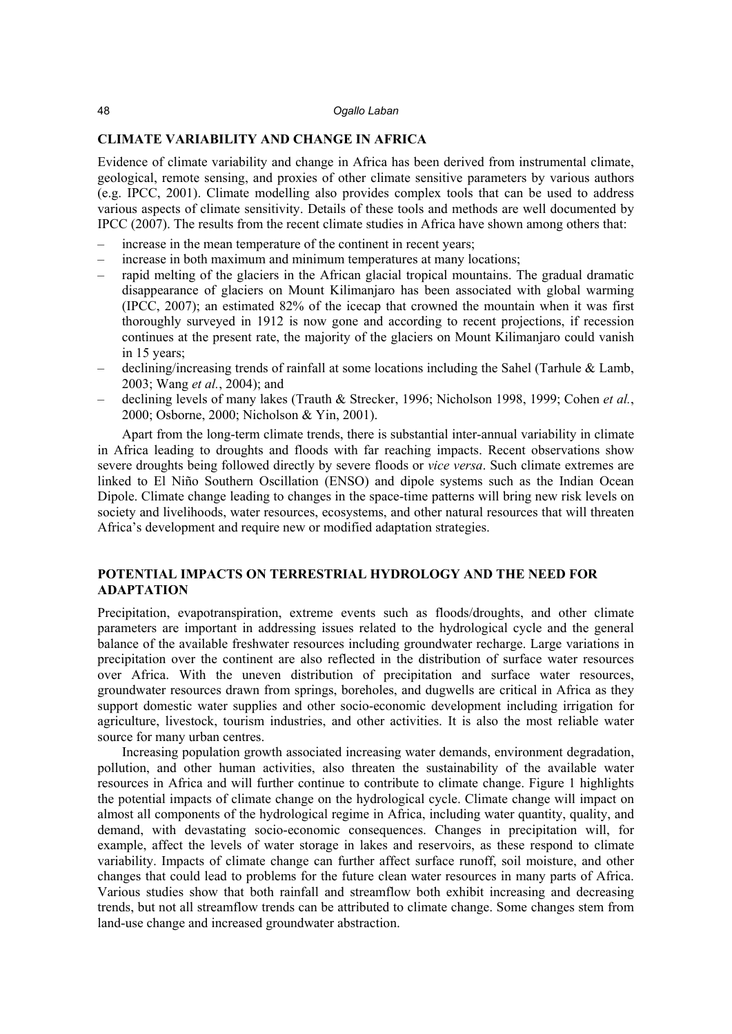#### 48 *Ogallo Laban*

## **CLIMATE VARIABILITY AND CHANGE IN AFRICA**

Evidence of climate variability and change in Africa has been derived from instrumental climate, geological, remote sensing, and proxies of other climate sensitive parameters by various authors (e.g. IPCC, 2001). Climate modelling also provides complex tools that can be used to address various aspects of climate sensitivity. Details of these tools and methods are well documented by IPCC (2007). The results from the recent climate studies in Africa have shown among others that:

- increase in the mean temperature of the continent in recent years;
- increase in both maximum and minimum temperatures at many locations;
- rapid melting of the glaciers in the African glacial tropical mountains. The gradual dramatic disappearance of glaciers on Mount Kilimanjaro has been associated with global warming (IPCC, 2007); an estimated 82% of the icecap that crowned the mountain when it was first thoroughly surveyed in 1912 is now gone and according to recent projections, if recession continues at the present rate, the majority of the glaciers on Mount Kilimanjaro could vanish in 15 years;
- declining/increasing trends of rainfall at some locations including the Sahel (Tarhule & Lamb, 2003; Wang *et al.*, 2004); and
- declining levels of many lakes (Trauth & Strecker, 1996; Nicholson 1998, 1999; Cohen *et al.*, 2000; Osborne, 2000; Nicholson & Yin, 2001).

 Apart from the long-term climate trends, there is substantial inter-annual variability in climate in Africa leading to droughts and floods with far reaching impacts. Recent observations show severe droughts being followed directly by severe floods or *vice versa*. Such climate extremes are linked to El Niño Southern Oscillation (ENSO) and dipole systems such as the Indian Ocean Dipole. Climate change leading to changes in the space-time patterns will bring new risk levels on society and livelihoods, water resources, ecosystems, and other natural resources that will threaten Africa's development and require new or modified adaptation strategies.

# **POTENTIAL IMPACTS ON TERRESTRIAL HYDROLOGY AND THE NEED FOR ADAPTATION**

Precipitation, evapotranspiration, extreme events such as floods/droughts, and other climate parameters are important in addressing issues related to the hydrological cycle and the general balance of the available freshwater resources including groundwater recharge. Large variations in precipitation over the continent are also reflected in the distribution of surface water resources over Africa. With the uneven distribution of precipitation and surface water resources, groundwater resources drawn from springs, boreholes, and dugwells are critical in Africa as they support domestic water supplies and other socio-economic development including irrigation for agriculture, livestock, tourism industries, and other activities. It is also the most reliable water source for many urban centres.

 Increasing population growth associated increasing water demands, environment degradation, pollution, and other human activities, also threaten the sustainability of the available water resources in Africa and will further continue to contribute to climate change. Figure 1 highlights the potential impacts of climate change on the hydrological cycle. Climate change will impact on almost all components of the hydrological regime in Africa, including water quantity, quality, and demand, with devastating socio-economic consequences. Changes in precipitation will, for example, affect the levels of water storage in lakes and reservoirs, as these respond to climate variability. Impacts of climate change can further affect surface runoff, soil moisture, and other changes that could lead to problems for the future clean water resources in many parts of Africa. Various studies show that both rainfall and streamflow both exhibit increasing and decreasing trends, but not all streamflow trends can be attributed to climate change. Some changes stem from land-use change and increased groundwater abstraction.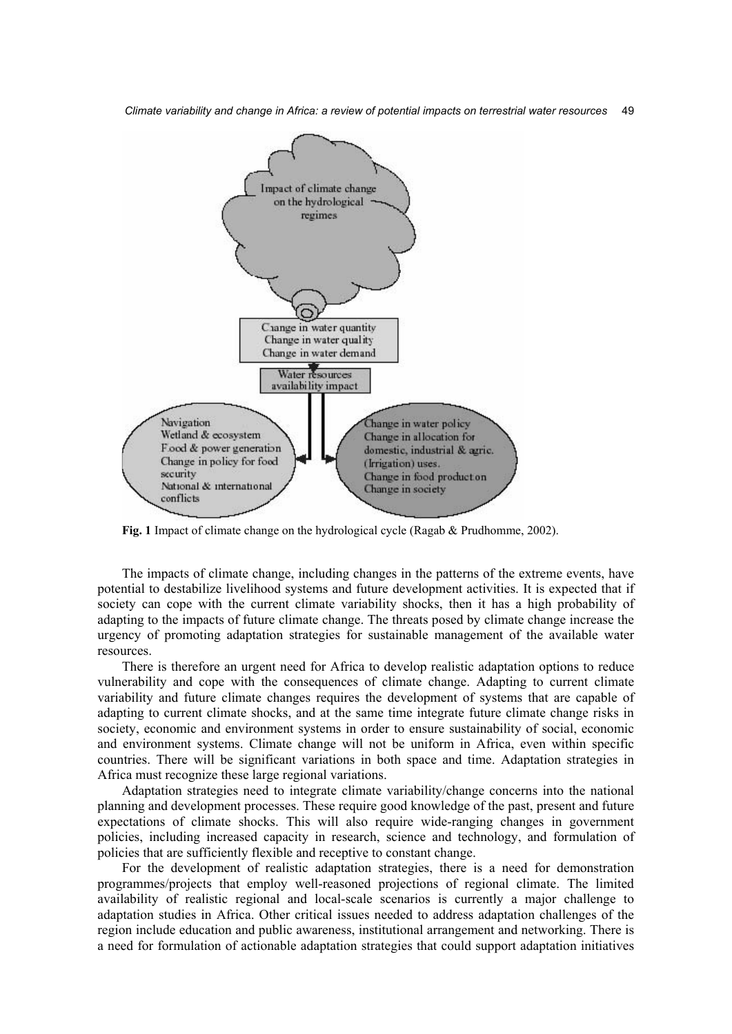*Climate variability and change in Africa: a review of potential impacts on terrestrial water resources* 49



**Fig. 1** Impact of climate change on the hydrological cycle (Ragab & Prudhomme, 2002).

 The impacts of climate change, including changes in the patterns of the extreme events, have potential to destabilize livelihood systems and future development activities. It is expected that if society can cope with the current climate variability shocks, then it has a high probability of adapting to the impacts of future climate change. The threats posed by climate change increase the urgency of promoting adaptation strategies for sustainable management of the available water resources.

 There is therefore an urgent need for Africa to develop realistic adaptation options to reduce vulnerability and cope with the consequences of climate change. Adapting to current climate variability and future climate changes requires the development of systems that are capable of adapting to current climate shocks, and at the same time integrate future climate change risks in society, economic and environment systems in order to ensure sustainability of social, economic and environment systems. Climate change will not be uniform in Africa, even within specific countries. There will be significant variations in both space and time. Adaptation strategies in Africa must recognize these large regional variations.

 Adaptation strategies need to integrate climate variability/change concerns into the national planning and development processes. These require good knowledge of the past, present and future expectations of climate shocks. This will also require wide-ranging changes in government policies, including increased capacity in research, science and technology, and formulation of policies that are sufficiently flexible and receptive to constant change.

 For the development of realistic adaptation strategies, there is a need for demonstration programmes/projects that employ well-reasoned projections of regional climate. The limited availability of realistic regional and local-scale scenarios is currently a major challenge to adaptation studies in Africa. Other critical issues needed to address adaptation challenges of the region include education and public awareness, institutional arrangement and networking. There is a need for formulation of actionable adaptation strategies that could support adaptation initiatives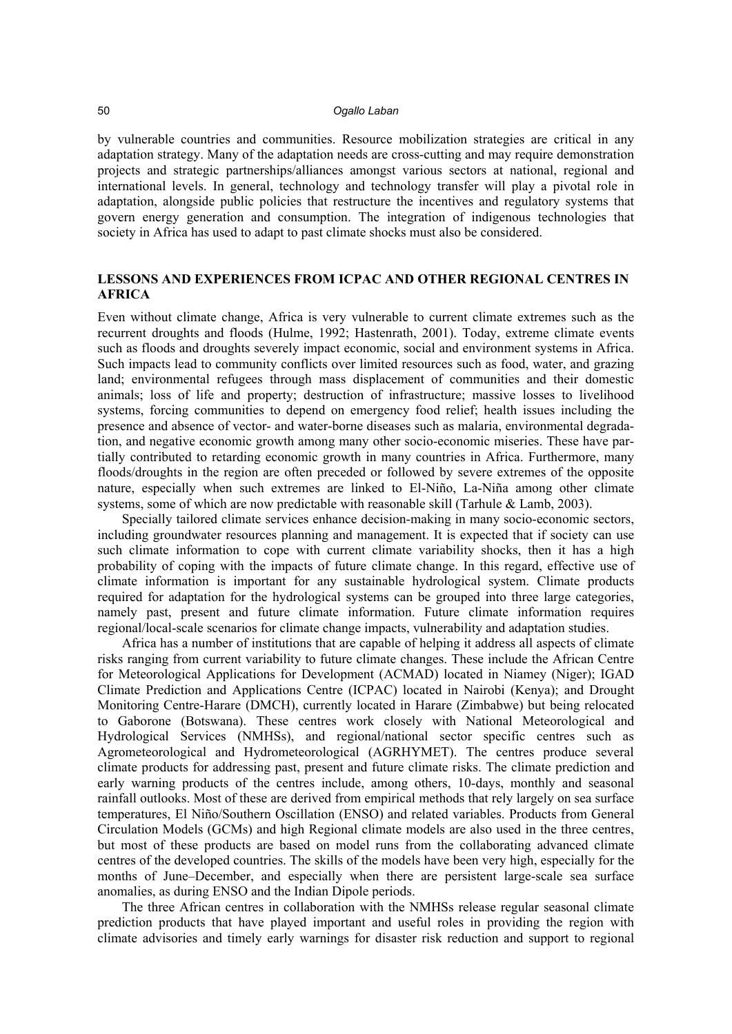#### 50 *Ogallo Laban*

by vulnerable countries and communities. Resource mobilization strategies are critical in any adaptation strategy. Many of the adaptation needs are cross-cutting and may require demonstration projects and strategic partnerships/alliances amongst various sectors at national, regional and international levels. In general, technology and technology transfer will play a pivotal role in adaptation, alongside public policies that restructure the incentives and regulatory systems that govern energy generation and consumption. The integration of indigenous technologies that society in Africa has used to adapt to past climate shocks must also be considered.

# **LESSONS AND EXPERIENCES FROM ICPAC AND OTHER REGIONAL CENTRES IN AFRICA**

Even without climate change, Africa is very vulnerable to current climate extremes such as the recurrent droughts and floods (Hulme, 1992; Hastenrath, 2001). Today, extreme climate events such as floods and droughts severely impact economic, social and environment systems in Africa. Such impacts lead to community conflicts over limited resources such as food, water, and grazing land; environmental refugees through mass displacement of communities and their domestic animals; loss of life and property; destruction of infrastructure; massive losses to livelihood systems, forcing communities to depend on emergency food relief; health issues including the presence and absence of vector- and water-borne diseases such as malaria, environmental degradation, and negative economic growth among many other socio-economic miseries. These have partially contributed to retarding economic growth in many countries in Africa. Furthermore, many floods/droughts in the region are often preceded or followed by severe extremes of the opposite nature, especially when such extremes are linked to El-Niño, La-Niña among other climate systems, some of which are now predictable with reasonable skill (Tarhule & Lamb, 2003).

 Specially tailored climate services enhance decision-making in many socio-economic sectors, including groundwater resources planning and management. It is expected that if society can use such climate information to cope with current climate variability shocks, then it has a high probability of coping with the impacts of future climate change. In this regard, effective use of climate information is important for any sustainable hydrological system. Climate products required for adaptation for the hydrological systems can be grouped into three large categories, namely past, present and future climate information. Future climate information requires regional/local-scale scenarios for climate change impacts, vulnerability and adaptation studies.

 Africa has a number of institutions that are capable of helping it address all aspects of climate risks ranging from current variability to future climate changes. These include the African Centre for Meteorological Applications for Development (ACMAD) located in Niamey (Niger); IGAD Climate Prediction and Applications Centre (ICPAC) located in Nairobi (Kenya); and Drought Monitoring Centre-Harare (DMCH), currently located in Harare (Zimbabwe) but being relocated to Gaborone (Botswana). These centres work closely with National Meteorological and Hydrological Services (NMHSs), and regional/national sector specific centres such as Agrometeorological and Hydrometeorological (AGRHYMET). The centres produce several climate products for addressing past, present and future climate risks. The climate prediction and early warning products of the centres include, among others, 10-days, monthly and seasonal rainfall outlooks. Most of these are derived from empirical methods that rely largely on sea surface temperatures, El Niño/Southern Oscillation (ENSO) and related variables. Products from General Circulation Models (GCMs) and high Regional climate models are also used in the three centres, but most of these products are based on model runs from the collaborating advanced climate centres of the developed countries. The skills of the models have been very high, especially for the months of June–December, and especially when there are persistent large-scale sea surface anomalies, as during ENSO and the Indian Dipole periods.

 The three African centres in collaboration with the NMHSs release regular seasonal climate prediction products that have played important and useful roles in providing the region with climate advisories and timely early warnings for disaster risk reduction and support to regional